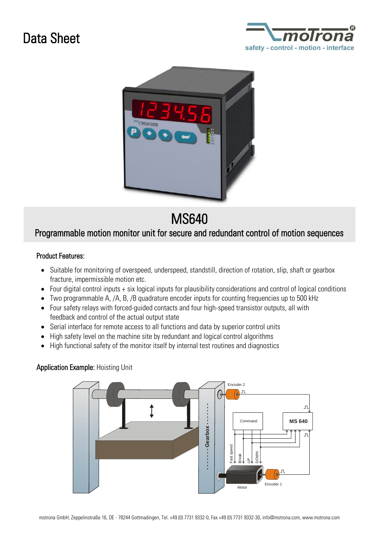# Data Sheet





## MS640

## Programmable motion monitor unit for secure and redundant control of motion sequences

#### Product Features:

- Suitable for monitoring of overspeed, underspeed, standstill, direction of rotation, slip, shaft or gearbox fracture, impermissible motion etc.
- Four digital control inputs + six logical inputs for plausibility considerations and control of logical conditions
- Two programmable A, /A, B, /B quadrature encoder inputs for counting frequencies up to 500 kHz
- Four safety relays with forced-guided contacts and four high-speed transistor outputs, all with feedback and control of the actual output state
- Serial interface for remote access to all functions and data by superior control units
- High safety level on the machine site by redundant and logical control algorithms
- High functional safety of the monitor itself by internal test routines and diagnostics

### Application Example: Hoisting Unit